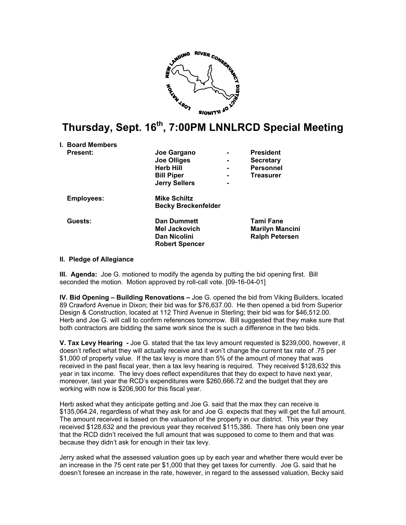

## **Thursday, Sept. 16th, 7:00PM LNNLRCD Special Meeting**

|  | <b>I. Board Members</b> |                            |                        |
|--|-------------------------|----------------------------|------------------------|
|  | <b>Present:</b>         | Joe Gargano                | <b>President</b>       |
|  |                         | <b>Joe Olliges</b>         | <b>Secretary</b>       |
|  |                         | <b>Herb Hill</b>           | <b>Personnel</b>       |
|  |                         | <b>Bill Piper</b>          | <b>Treasurer</b>       |
|  |                         | <b>Jerry Sellers</b>       |                        |
|  | <b>Employees:</b>       | <b>Mike Schiltz</b>        |                        |
|  |                         | <b>Becky Breckenfelder</b> |                        |
|  | Guests:                 | <b>Dan Dummett</b>         | Tami Fane              |
|  |                         | Mel Jackovich              | <b>Marilyn Mancini</b> |
|  |                         | Dan Nicolini               | <b>Ralph Petersen</b>  |
|  |                         | <b>Robert Spencer</b>      |                        |
|  |                         |                            |                        |

## **II. Pledge of Allegiance**

**III. Agenda:** Joe G. motioned to modify the agenda by putting the bid opening first. Bill seconded the motion. Motion approved by roll-call vote. [09-16-04-01]

**IV. Bid Opening – Building Renovations –** Joe G. opened the bid from Viking Builders, located 89 Crawford Avenue in Dixon; their bid was for \$76,637.00. He then opened a bid from Superior Design & Construction, located at 112 Third Avenue in Sterling; their bid was for \$46,512.00. Herb and Joe G. will call to confirm references tomorrow. Bill suggested that they make sure that both contractors are bidding the same work since the is such a difference in the two bids.

**V. Tax Levy Hearing -** Joe G. stated that the tax levy amount requested is \$239,000, however, it doesn't reflect what they will actually receive and it won't change the current tax rate of .75 per \$1,000 of property value. If the tax levy is more than 5% of the amount of money that was received in the past fiscal year, then a tax levy hearing is required. They received \$128,632 this year in tax income. The levy does reflect expenditures that they do expect to have next year, moreover, last year the RCD's expenditures were \$260,666.72 and the budget that they are working with now is \$206,900 for this fiscal year.

Herb asked what they anticipate getting and Joe G. said that the max they can receive is \$135,064.24, regardless of what they ask for and Joe G. expects that they will get the full amount. The amount received is based on the valuation of the property in our district. This year they received \$128,632 and the previous year they received \$115,386. There has only been one year that the RCD didn't received the full amount that was supposed to come to them and that was because they didn't ask for enough in their tax levy.

Jerry asked what the assessed valuation goes up by each year and whether there would ever be an increase in the 75 cent rate per \$1,000 that they get taxes for currently. Joe G. said that he doesn't foresee an increase in the rate, however, in regard to the assessed valuation, Becky said